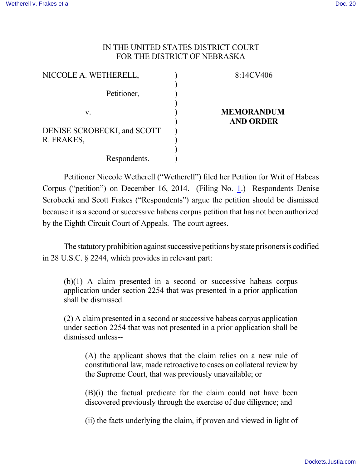## IN THE UNITED STATES DISTRICT COURT FOR THE DISTRICT OF NEBRASKA

| NICCOLE A. WETHERELL,       | 8:14CV406         |
|-----------------------------|-------------------|
|                             |                   |
| Petitioner,                 |                   |
|                             |                   |
| V.                          | <b>MEMORANDUM</b> |
|                             | <b>AND ORDER</b>  |
| DENISE SCROBECKI, and SCOTT |                   |
| R. FRAKES,                  |                   |
|                             |                   |
| Respondents.                |                   |

Petitioner Niccole Wetherell ("Wetherell") filed her Petition for Writ of Habeas Corpus ("petition") on December 16, 2014. (Filing No. [1](http://ecf.ned.uscourts.gov/doc1/11313170197).) Respondents Denise Scrobecki and Scott Frakes ("Respondents") argue the petition should be dismissed because it is a second or successive habeas corpus petition that has not been authorized by the Eighth Circuit Court of Appeals. The court agrees.

The statutory prohibition against successive petitions by state prisoners is codified in 28 U.S.C. § 2244, which provides in relevant part:

(b)(1) A claim presented in a second or successive habeas corpus application under section 2254 that was presented in a prior application shall be dismissed.

(2) A claim presented in a second or successive habeas corpus application under section 2254 that was not presented in a prior application shall be dismissed unless--

(A) the applicant shows that the claim relies on a new rule of constitutional law, made retroactive to cases on collateral review by the Supreme Court, that was previously unavailable; or

(B)(i) the factual predicate for the claim could not have been discovered previously through the exercise of due diligence; and

(ii) the facts underlying the claim, if proven and viewed in light of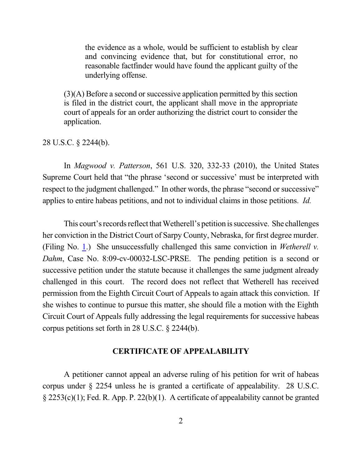the evidence as a whole, would be sufficient to establish by clear and convincing evidence that, but for constitutional error, no reasonable factfinder would have found the applicant guilty of the underlying offense.

 $(3)(A)$  Before a second or successive application permitted by this section is filed in the district court, the applicant shall move in the appropriate court of appeals for an order authorizing the district court to consider the application.

28 U.S.C. § 2244(b).

In *Magwood v. Patterson*, 561 U.S. 320, 332-33 (2010), the United States Supreme Court held that "the phrase 'second or successive' must be interpreted with respect to the judgment challenged." In other words, the phrase "second or successive" applies to entire habeas petitions, and not to individual claims in those petitions. *Id.*

This court's records reflect that Wetherell's petition is successive. She challenges her conviction in the District Court of Sarpy County, Nebraska, for first degree murder. (Filing No. [1](http://ecf.ned.uscourts.gov/doc1/11313170197).) She unsuccessfully challenged this same conviction in *Wetherell v. Dahm*, Case No. 8:09-cv-00032-LSC-PRSE. The pending petition is a second or successive petition under the statute because it challenges the same judgment already challenged in this court. The record does not reflect that Wetherell has received permission from the Eighth Circuit Court of Appeals to again attack this conviction. If she wishes to continue to pursue this matter, she should file a motion with the Eighth Circuit Court of Appeals fully addressing the legal requirements for successive habeas corpus petitions set forth in 28 U.S.C. § 2244(b).

## **CERTIFICATE OF APPEALABILITY**

A petitioner cannot appeal an adverse ruling of his petition for writ of habeas corpus under § 2254 unless he is granted a certificate of appealability. 28 U.S.C. § 2253(c)(1); Fed. R. App. P. 22(b)(1). A certificate of appealability cannot be granted